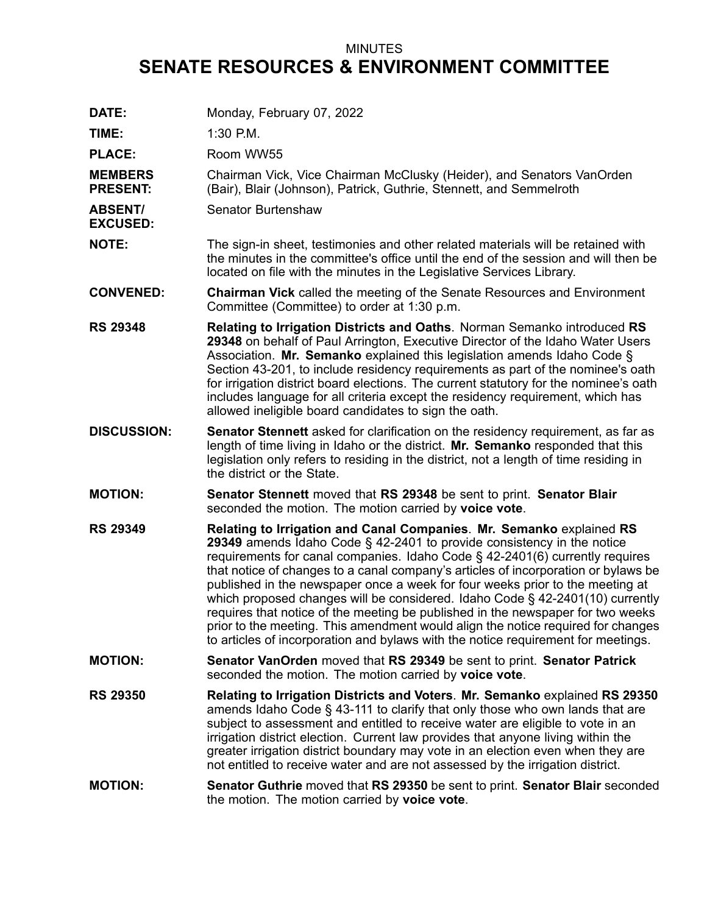## MINUTES **SENATE RESOURCES & ENVIRONMENT COMMITTEE**

**DATE:** Monday, February 07, 2022 **TIME:** 1:30 P.M. PLACE: Room WW55 **MEMBERS PRESENT:** Chairman Vick, Vice Chairman McClusky (Heider), and Senators VanOrden (Bair), Blair (Johnson), Patrick, Guthrie, Stennett, and Semmelroth **ABSENT/ EXCUSED:** Senator Burtenshaw **NOTE:** The sign-in sheet, testimonies and other related materials will be retained with the minutes in the committee's office until the end of the session and will then be located on file with the minutes in the Legislative Services Library. **CONVENED: Chairman Vick** called the meeting of the Senate Resources and Environment Committee (Committee) to order at 1:30 p.m. **RS 29348 Relating to Irrigation Districts and Oaths**. Norman Semanko introduced **RS 29348** on behalf of Paul Arrington, Executive Director of the Idaho Water Users Association. **Mr. Semanko** explained this legislation amends Idaho Code § Section 43-201, to include residency requirements as part of the nominee's oath for irrigation district board elections. The current statutory for the nominee's oath includes language for all criteria except the residency requirement, which has allowed ineligible board candidates to sign the oath. **DISCUSSION: Senator Stennett** asked for clarification on the residency requirement, as far as length of time living in Idaho or the district. **Mr. Semanko** responded that this legislation only refers to residing in the district, not <sup>a</sup> length of time residing in the district or the State. **MOTION: Senator Stennett** moved that **RS 29348** be sent to print. **Senator Blair** seconded the motion. The motion carried by **voice vote**. **RS 29349 Relating to Irrigation and Canal Companies**. **Mr. Semanko** explained **RS 29349** amends Idaho Code § 42-2401 to provide consistency in the notice requirements for canal companies. Idaho Code  $\S$  42-2401(6) currently requires that notice of changes to <sup>a</sup> canal company's articles of incorporation or bylaws be published in the newspaper once <sup>a</sup> week for four weeks prior to the meeting at which proposed changes will be considered. Idaho Code § 42-2401(10) currently requires that notice of the meeting be published in the newspaper for two weeks prior to the meeting. This amendment would align the notice required for changes to articles of incorporation and bylaws with the notice requirement for meetings. **MOTION: Senator VanOrden** moved that **RS 29349** be sent to print. **Senator Patrick** seconded the motion. The motion carried by **voice vote**. **RS 29350 Relating to Irrigation Districts and Voters**. **Mr. Semanko** explained **RS 29350** amends Idaho Code § 43-111 to clarify that only those who own lands that are subject to assessment and entitled to receive water are eligible to vote in an irrigation district election. Current law provides that anyone living within the greater irrigation district boundary may vote in an election even when they are not entitled to receive water and are not assessed by the irrigation district. **MOTION: Senator Guthrie** moved that **RS 29350** be sent to print. **Senator Blair** seconded the motion. The motion carried by **voice vote**.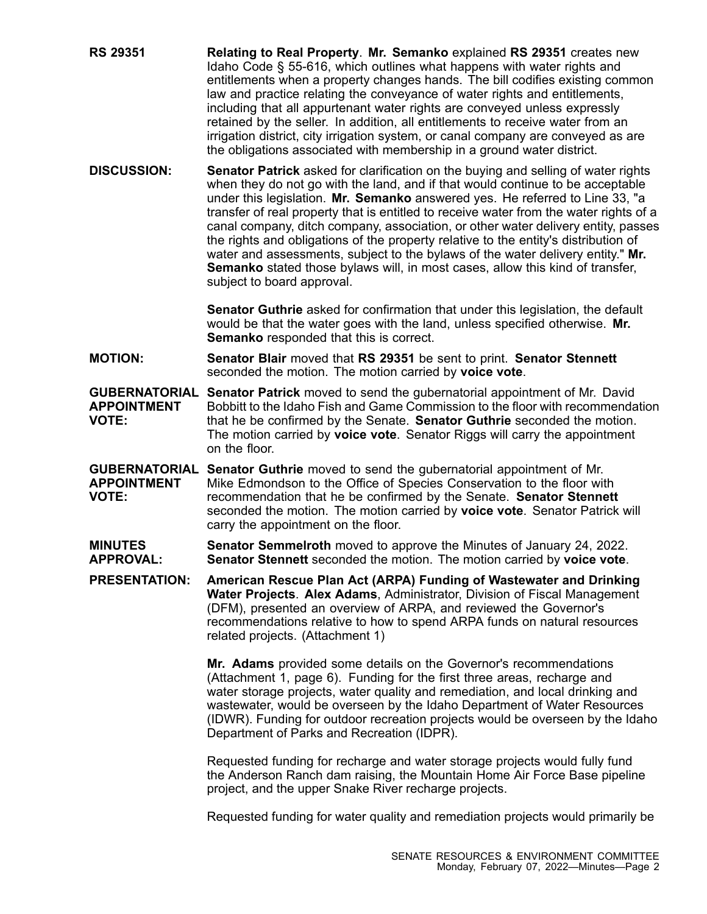- **RS 29351 Relating to Real Property**. **Mr. Semanko** explained **RS 29351** creates new Idaho Code § 55-616, which outlines what happens with water rights and entitlements when <sup>a</sup> property changes hands. The bill codifies existing common law and practice relating the conveyance of water rights and entitlements, including that all appurtenant water rights are conveyed unless expressly retained by the seller. In addition, all entitlements to receive water from an irrigation district, city irrigation system, or canal company are conveyed as are the obligations associated with membership in <sup>a</sup> ground water district.
- **DISCUSSION: Senator Patrick** asked for clarification on the buying and selling of water rights when they do not go with the land, and if that would continue to be acceptable under this legislation. **Mr. Semanko** answered yes. He referred to Line 33, "a transfer of real property that is entitled to receive water from the water rights of <sup>a</sup> canal company, ditch company, association, or other water delivery entity, passes the rights and obligations of the property relative to the entity's distribution of water and assessments, subject to the bylaws of the water delivery entity." **Mr. Semanko** stated those bylaws will, in most cases, allow this kind of transfer, subject to board approval.

**Senator Guthrie** asked for confirmation that under this legislation, the default would be that the water goes with the land, unless specified otherwise. **Mr. Semanko** responded that this is correct.

**MOTION: Senator Blair** moved that **RS 29351** be sent to print. **Senator Stennett** seconded the motion. The motion carried by **voice vote**.

**GUBERNATORIAL Senator Patrick** moved to send the gubernatorial appointment of Mr. David **APPOINTMENT VOTE:** Bobbitt to the Idaho Fish and Game Commission to the floor with recommendation that he be confirmed by the Senate. **Senator Guthrie** seconded the motion. The motion carried by **voice vote**. Senator Riggs will carry the appointment on the floor.

**GUBERNATORIAL Senator Guthrie** moved to send the gubernatorial appointment of Mr. **APPOINTMENT VOTE:** Mike Edmondson to the Office of Species Conservation to the floor with recommendation that he be confirmed by the Senate. **Senator Stennett** seconded the motion. The motion carried by **voice vote**. Senator Patrick will carry the appointment on the floor.

**MINUTES APPROVAL: Senator Semmelroth** moved to approve the Minutes of January 24, 2022. **Senator Stennett** seconded the motion. The motion carried by **voice vote**.

**PRESENTATION: American Rescue Plan Act (ARPA) Funding of Wastewater and Drinking Water Projects**. **Alex Adams**, Administrator, Division of Fiscal Management (DFM), presented an overview of ARPA, and reviewed the Governor's recommendations relative to how to spend ARPA funds on natural resources related projects. (Attachment 1)

> **Mr. Adams** provided some details on the Governor's recommendations (Attachment 1, page 6). Funding for the first three areas, recharge and water storage projects, water quality and remediation, and local drinking and wastewater, would be overseen by the Idaho Department of Water Resources (IDWR). Funding for outdoor recreation projects would be overseen by the Idaho Department of Parks and Recreation (IDPR).

Requested funding for recharge and water storage projects would fully fund the Anderson Ranch dam raising, the Mountain Home Air Force Base pipeline project, and the upper Snake River recharge projects.

Requested funding for water quality and remediation projects would primarily be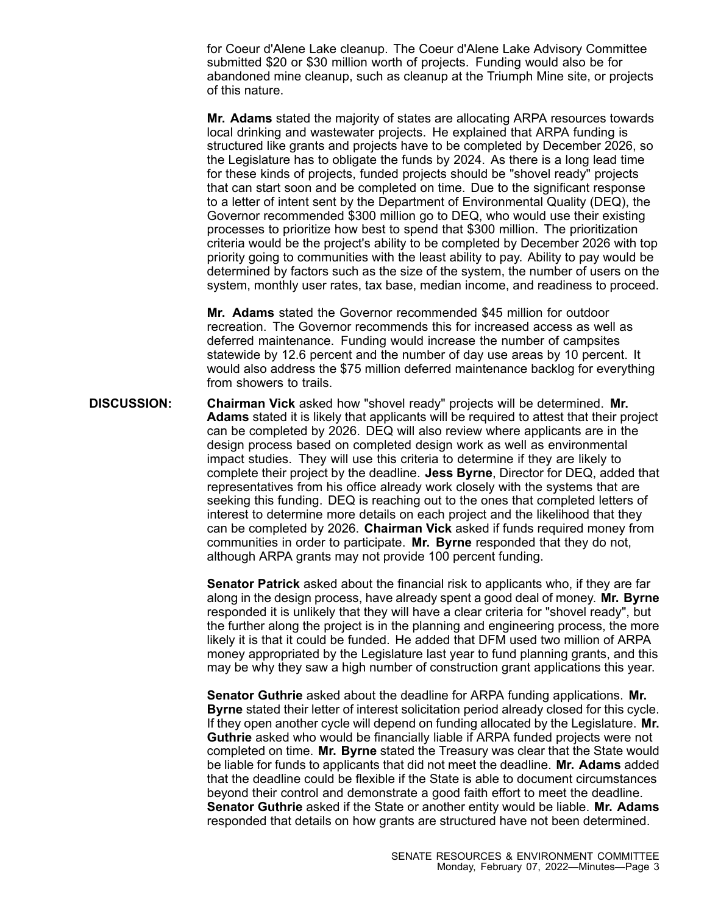for Coeur d'Alene Lake cleanup. The Coeur d'Alene Lake Advisory Committee submitted \$20 or \$30 million worth of projects. Funding would also be for abandoned mine cleanup, such as cleanup at the Triumph Mine site, or projects of this nature.

**Mr. Adams** stated the majority of states are allocating ARPA resources towards local drinking and wastewater projects. He explained that ARPA funding is structured like grants and projects have to be completed by December 2026, so the Legislature has to obligate the funds by 2024. As there is <sup>a</sup> long lead time for these kinds of projects, funded projects should be "shovel ready" projects that can start soon and be completed on time. Due to the significant response to <sup>a</sup> letter of intent sent by the Department of Environmental Quality (DEQ), the Governor recommended \$300 million go to DEQ, who would use their existing processes to prioritize how best to spend that \$300 million. The prioritization criteria would be the project's ability to be completed by December 2026 with top priority going to communities with the least ability to pay. Ability to pay would be determined by factors such as the size of the system, the number of users on the system, monthly user rates, tax base, median income, and readiness to proceed.

**Mr. Adams** stated the Governor recommended \$45 million for outdoor recreation. The Governor recommends this for increased access as well as deferred maintenance. Funding would increase the number of campsites statewide by 12.6 percent and the number of day use areas by 10 percent. It would also address the \$75 million deferred maintenance backlog for everything from showers to trails.

**DISCUSSION: Chairman Vick** asked how "shovel ready" projects will be determined. **Mr. Adams** stated it is likely that applicants will be required to attest that their project can be completed by 2026. DEQ will also review where applicants are in the design process based on completed design work as well as environmental impact studies. They will use this criteria to determine if they are likely to complete their project by the deadline. **Jess Byrne**, Director for DEQ, added that representatives from his office already work closely with the systems that are seeking this funding. DEQ is reaching out to the ones that completed letters of interest to determine more details on each project and the likelihood that they can be completed by 2026. **Chairman Vick** asked if funds required money from communities in order to participate. **Mr. Byrne** responded that they do not, although ARPA grants may not provide 100 percent funding.

> **Senator Patrick** asked about the financial risk to applicants who, if they are far along in the design process, have already spent <sup>a</sup> good deal of money. **Mr. Byrne** responded it is unlikely that they will have <sup>a</sup> clear criteria for "shovel ready", but the further along the project is in the planning and engineering process, the more likely it is that it could be funded. He added that DFM used two million of ARPA money appropriated by the Legislature last year to fund planning grants, and this may be why they saw <sup>a</sup> high number of construction grant applications this year.

> **Senator Guthrie** asked about the deadline for ARPA funding applications. **Mr. Byrne** stated their letter of interest solicitation period already closed for this cycle. If they open another cycle will depend on funding allocated by the Legislature. **Mr. Guthrie** asked who would be financially liable if ARPA funded projects were not completed on time. **Mr. Byrne** stated the Treasury was clear that the State would be liable for funds to applicants that did not meet the deadline. **Mr. Adams** added that the deadline could be flexible if the State is able to document circumstances beyond their control and demonstrate <sup>a</sup> good faith effort to meet the deadline. **Senator Guthrie** asked if the State or another entity would be liable. **Mr. Adams** responded that details on how grants are structured have not been determined.